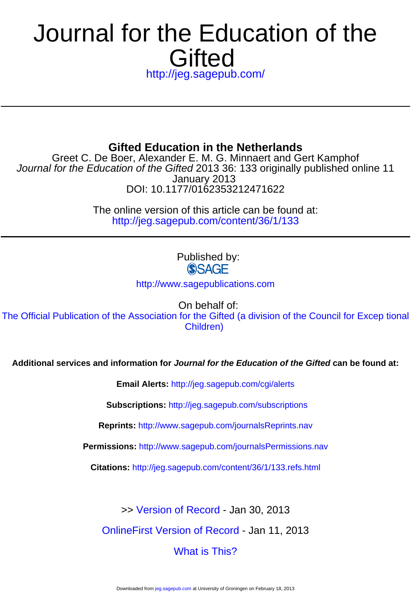# **Gifted** Journal for the Education of the

<http://jeg.sagepub.com/>

**Gifted Education in the Netherlands**

DOI: 10.1177/0162353212471622 January 2013 Journal for the Education of the Gifted 2013 36: 133 originally published online 11 Greet C. De Boer, Alexander E. M. G. Minnaert and Gert Kamphof

> <http://jeg.sagepub.com/content/36/1/133> The online version of this article can be found at:

> > Published by:<br>
> > SAGE

<http://www.sagepublications.com>

On behalf of:

Children) The Official Publication of the Association for the Gifted (a division of the Council for Excep tional

**Additional services and information for Journal for the Education of the Gifted can be found at:**

**Email Alerts:** <http://jeg.sagepub.com/cgi/alerts>

**Subscriptions:** <http://jeg.sagepub.com/subscriptions>

**Reprints:** <http://www.sagepub.com/journalsReprints.nav>

**Permissions:** <http://www.sagepub.com/journalsPermissions.nav>

**Citations:** <http://jeg.sagepub.com/content/36/1/133.refs.html>

>> [Version of Record -](http://jeg.sagepub.com/content/36/1/133.full.pdf) Jan 30, 2013

[OnlineFirst Version of Record -](http://jeg.sagepub.com/content/early/2013/01/09/0162353212471622.full.pdf) Jan 11, 2013

[What is This?](http://online.sagepub.com/site/sphelp/vorhelp.xhtml)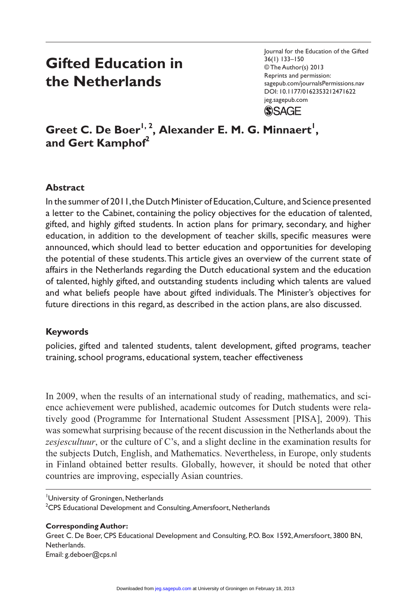# **Gifted Education in the Netherlands**

Journal for the Education of the Gifted 36(1) 133–150 © The Author(s) 2013 Reprints and permission: sagepub.com/journalsPermissions.nav DOI: 10.1177/0162353212471622 jeg.sagepub.com **SSAGE** 

Greet C. De Boer<sup>1, 2</sup>, Alexander E. M. G. Minnaert<sup>1</sup>, **and Gert Kamphof2**

#### **Abstract**

In the summer of 2011, the Dutch Minister of Education, Culture, and Science presented a letter to the Cabinet, containing the policy objectives for the education of talented, gifted, and highly gifted students. In action plans for primary, secondary, and higher education, in addition to the development of teacher skills, specific measures were announced, which should lead to better education and opportunities for developing the potential of these students. This article gives an overview of the current state of affairs in the Netherlands regarding the Dutch educational system and the education of talented, highly gifted, and outstanding students including which talents are valued and what beliefs people have about gifted individuals. The Minister's objectives for future directions in this regard, as described in the action plans, are also discussed.

#### **Keywords**

policies, gifted and talented students, talent development, gifted programs, teacher training, school programs, educational system, teacher effectiveness

In 2009, when the results of an international study of reading, mathematics, and science achievement were published, academic outcomes for Dutch students were relatively good (Programme for International Student Assessment [PISA], 2009). This was somewhat surprising because of the recent discussion in the Netherlands about the *zesjescultuur*, or the culture of C's, and a slight decline in the examination results for the subjects Dutch, English, and Mathematics. Nevertheless, in Europe, only students in Finland obtained better results. Globally, however, it should be noted that other countries are improving, especially Asian countries.

University of Groningen, Netherlands  $\rm ^2$ CPS Educational Development and Consulting, Amersfoort, Netherlands

**Corresponding Author:** Greet C. De Boer, CPS Educational Development and Consulting, P.O. Box 1592, Amersfoort, 3800 BN, Netherlands. Email: g.deboer@cps.nl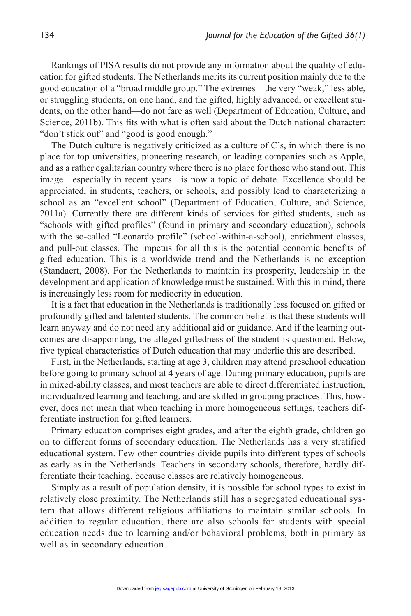Rankings of PISA results do not provide any information about the quality of education for gifted students. The Netherlands merits its current position mainly due to the good education of a "broad middle group." The extremes—the very "weak," less able, or struggling students, on one hand, and the gifted, highly advanced, or excellent students, on the other hand—do not fare as well (Department of Education, Culture, and Science, 2011b). This fits with what is often said about the Dutch national character: "don't stick out" and "good is good enough."

The Dutch culture is negatively criticized as a culture of C's, in which there is no place for top universities, pioneering research, or leading companies such as Apple, and as a rather egalitarian country where there is no place for those who stand out. This image—especially in recent years—is now a topic of debate. Excellence should be appreciated, in students, teachers, or schools, and possibly lead to characterizing a school as an "excellent school" (Department of Education, Culture, and Science, 2011a). Currently there are different kinds of services for gifted students, such as "schools with gifted profiles" (found in primary and secondary education), schools with the so-called "Leonardo profile" (school-within-a-school), enrichment classes, and pull-out classes. The impetus for all this is the potential economic benefits of gifted education. This is a worldwide trend and the Netherlands is no exception (Standaert, 2008). For the Netherlands to maintain its prosperity, leadership in the development and application of knowledge must be sustained. With this in mind, there is increasingly less room for mediocrity in education.

It is a fact that education in the Netherlands is traditionally less focused on gifted or profoundly gifted and talented students. The common belief is that these students will learn anyway and do not need any additional aid or guidance. And if the learning outcomes are disappointing, the alleged giftedness of the student is questioned. Below, five typical characteristics of Dutch education that may underlie this are described.

First, in the Netherlands, starting at age 3, children may attend preschool education before going to primary school at 4 years of age. During primary education, pupils are in mixed-ability classes, and most teachers are able to direct differentiated instruction, individualized learning and teaching, and are skilled in grouping practices. This, however, does not mean that when teaching in more homogeneous settings, teachers differentiate instruction for gifted learners.

Primary education comprises eight grades, and after the eighth grade, children go on to different forms of secondary education. The Netherlands has a very stratified educational system. Few other countries divide pupils into different types of schools as early as in the Netherlands. Teachers in secondary schools, therefore, hardly differentiate their teaching, because classes are relatively homogeneous.

Simply as a result of population density, it is possible for school types to exist in relatively close proximity. The Netherlands still has a segregated educational system that allows different religious affiliations to maintain similar schools. In addition to regular education, there are also schools for students with special education needs due to learning and/or behavioral problems, both in primary as well as in secondary education.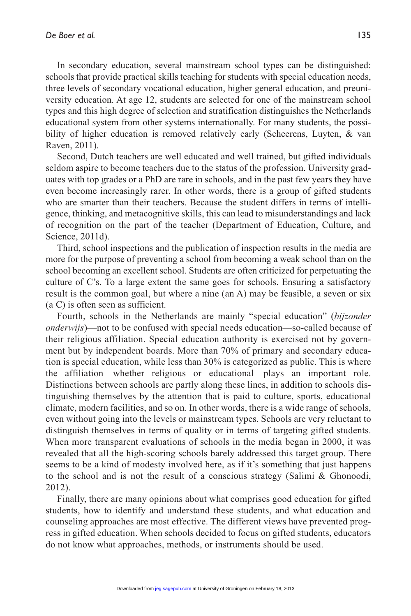In secondary education, several mainstream school types can be distinguished: schools that provide practical skills teaching for students with special education needs, three levels of secondary vocational education, higher general education, and preuniversity education. At age 12, students are selected for one of the mainstream school types and this high degree of selection and stratification distinguishes the Netherlands educational system from other systems internationally. For many students, the possibility of higher education is removed relatively early (Scheerens, Luyten, & van Raven, 2011).

Second, Dutch teachers are well educated and well trained, but gifted individuals seldom aspire to become teachers due to the status of the profession. University graduates with top grades or a PhD are rare in schools, and in the past few years they have even become increasingly rarer. In other words, there is a group of gifted students who are smarter than their teachers. Because the student differs in terms of intelligence, thinking, and metacognitive skills, this can lead to misunderstandings and lack of recognition on the part of the teacher (Department of Education, Culture, and Science, 2011d).

Third, school inspections and the publication of inspection results in the media are more for the purpose of preventing a school from becoming a weak school than on the school becoming an excellent school. Students are often criticized for perpetuating the culture of C's. To a large extent the same goes for schools. Ensuring a satisfactory result is the common goal, but where a nine (an A) may be feasible, a seven or six (a C) is often seen as sufficient.

Fourth, schools in the Netherlands are mainly "special education" (*bijzonder onderwijs*)—not to be confused with special needs education—so-called because of their religious affiliation. Special education authority is exercised not by government but by independent boards. More than 70% of primary and secondary education is special education, while less than 30% is categorized as public. This is where the affiliation—whether religious or educational—plays an important role. Distinctions between schools are partly along these lines, in addition to schools distinguishing themselves by the attention that is paid to culture, sports, educational climate, modern facilities, and so on. In other words, there is a wide range of schools, even without going into the levels or mainstream types. Schools are very reluctant to distinguish themselves in terms of quality or in terms of targeting gifted students. When more transparent evaluations of schools in the media began in 2000, it was revealed that all the high-scoring schools barely addressed this target group. There seems to be a kind of modesty involved here, as if it's something that just happens to the school and is not the result of a conscious strategy (Salimi & Ghonoodi, 2012).

Finally, there are many opinions about what comprises good education for gifted students, how to identify and understand these students, and what education and counseling approaches are most effective. The different views have prevented progress in gifted education. When schools decided to focus on gifted students, educators do not know what approaches, methods, or instruments should be used.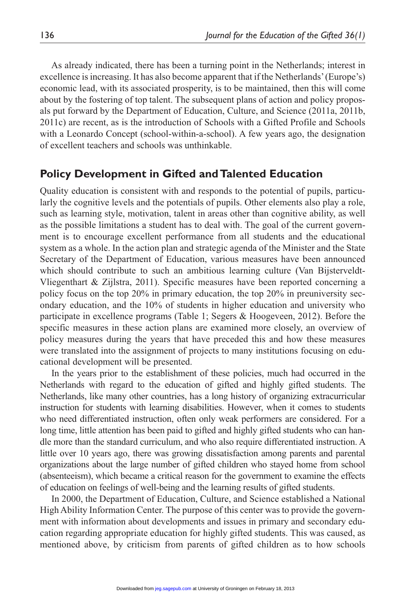As already indicated, there has been a turning point in the Netherlands; interest in excellence is increasing. It has also become apparent that if the Netherlands' (Europe's) economic lead, with its associated prosperity, is to be maintained, then this will come about by the fostering of top talent. The subsequent plans of action and policy proposals put forward by the Department of Education, Culture, and Science (2011a, 2011b, 2011c) are recent, as is the introduction of Schools with a Gifted Profile and Schools with a Leonardo Concept (school-within-a-school). A few years ago, the designation of excellent teachers and schools was unthinkable.

#### **Policy Development in Gifted and Talented Education**

Quality education is consistent with and responds to the potential of pupils, particularly the cognitive levels and the potentials of pupils. Other elements also play a role, such as learning style, motivation, talent in areas other than cognitive ability, as well as the possible limitations a student has to deal with. The goal of the current government is to encourage excellent performance from all students and the educational system as a whole. In the action plan and strategic agenda of the Minister and the State Secretary of the Department of Education, various measures have been announced which should contribute to such an ambitious learning culture (Van Bijsterveldt-Vliegenthart & Zijlstra, 2011). Specific measures have been reported concerning a policy focus on the top 20% in primary education, the top 20% in preuniversity secondary education, and the 10% of students in higher education and university who participate in excellence programs (Table 1; Segers & Hoogeveen, 2012). Before the specific measures in these action plans are examined more closely, an overview of policy measures during the years that have preceded this and how these measures were translated into the assignment of projects to many institutions focusing on educational development will be presented.

In the years prior to the establishment of these policies, much had occurred in the Netherlands with regard to the education of gifted and highly gifted students. The Netherlands, like many other countries, has a long history of organizing extracurricular instruction for students with learning disabilities. However, when it comes to students who need differentiated instruction, often only weak performers are considered. For a long time, little attention has been paid to gifted and highly gifted students who can handle more than the standard curriculum, and who also require differentiated instruction. A little over 10 years ago, there was growing dissatisfaction among parents and parental organizations about the large number of gifted children who stayed home from school (absenteeism), which became a critical reason for the government to examine the effects of education on feelings of well-being and the learning results of gifted students.

In 2000, the Department of Education, Culture, and Science established a National High Ability Information Center. The purpose of this center was to provide the government with information about developments and issues in primary and secondary education regarding appropriate education for highly gifted students. This was caused, as mentioned above, by criticism from parents of gifted children as to how schools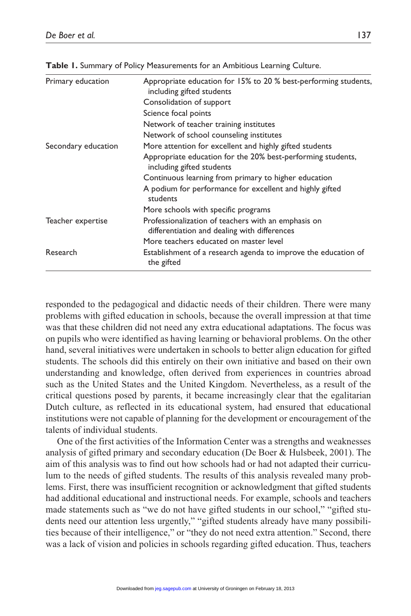| Primary education   | Appropriate education for 15% to 20 % best-performing students,<br>including gifted students        |
|---------------------|-----------------------------------------------------------------------------------------------------|
|                     | Consolidation of support                                                                            |
|                     | Science focal points                                                                                |
|                     | Network of teacher training institutes                                                              |
|                     | Network of school counseling institutes                                                             |
| Secondary education | More attention for excellent and highly gifted students                                             |
|                     | Appropriate education for the 20% best-performing students,<br>including gifted students            |
|                     | Continuous learning from primary to higher education                                                |
|                     | A podium for performance for excellent and highly gifted<br>students                                |
|                     | More schools with specific programs                                                                 |
| Teacher expertise   | Professionalization of teachers with an emphasis on<br>differentiation and dealing with differences |
|                     | More teachers educated on master level                                                              |
| Research            | Establishment of a research agenda to improve the education of<br>the gifted                        |

**Table 1.** Summary of Policy Measurements for an Ambitious Learning Culture.

responded to the pedagogical and didactic needs of their children. There were many problems with gifted education in schools, because the overall impression at that time was that these children did not need any extra educational adaptations. The focus was on pupils who were identified as having learning or behavioral problems. On the other hand, several initiatives were undertaken in schools to better align education for gifted students. The schools did this entirely on their own initiative and based on their own understanding and knowledge, often derived from experiences in countries abroad such as the United States and the United Kingdom. Nevertheless, as a result of the critical questions posed by parents, it became increasingly clear that the egalitarian Dutch culture, as reflected in its educational system, had ensured that educational institutions were not capable of planning for the development or encouragement of the talents of individual students.

One of the first activities of the Information Center was a strengths and weaknesses analysis of gifted primary and secondary education (De Boer & Hulsbeek, 2001). The aim of this analysis was to find out how schools had or had not adapted their curriculum to the needs of gifted students. The results of this analysis revealed many problems. First, there was insufficient recognition or acknowledgment that gifted students had additional educational and instructional needs. For example, schools and teachers made statements such as "we do not have gifted students in our school," "gifted students need our attention less urgently," "gifted students already have many possibilities because of their intelligence," or "they do not need extra attention." Second, there was a lack of vision and policies in schools regarding gifted education. Thus, teachers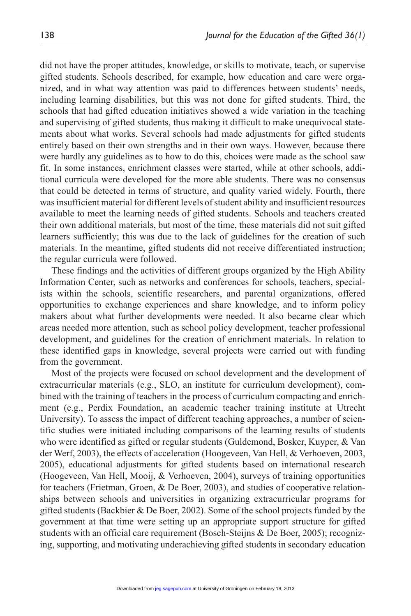did not have the proper attitudes, knowledge, or skills to motivate, teach, or supervise gifted students. Schools described, for example, how education and care were organized, and in what way attention was paid to differences between students' needs, including learning disabilities, but this was not done for gifted students. Third, the schools that had gifted education initiatives showed a wide variation in the teaching and supervising of gifted students, thus making it difficult to make unequivocal statements about what works. Several schools had made adjustments for gifted students entirely based on their own strengths and in their own ways. However, because there were hardly any guidelines as to how to do this, choices were made as the school saw fit. In some instances, enrichment classes were started, while at other schools, additional curricula were developed for the more able students. There was no consensus that could be detected in terms of structure, and quality varied widely. Fourth, there was insufficient material for different levels of student ability and insufficient resources available to meet the learning needs of gifted students. Schools and teachers created their own additional materials, but most of the time, these materials did not suit gifted learners sufficiently; this was due to the lack of guidelines for the creation of such materials. In the meantime, gifted students did not receive differentiated instruction; the regular curricula were followed.

These findings and the activities of different groups organized by the High Ability Information Center, such as networks and conferences for schools, teachers, specialists within the schools, scientific researchers, and parental organizations, offered opportunities to exchange experiences and share knowledge, and to inform policy makers about what further developments were needed. It also became clear which areas needed more attention, such as school policy development, teacher professional development, and guidelines for the creation of enrichment materials. In relation to these identified gaps in knowledge, several projects were carried out with funding from the government.

Most of the projects were focused on school development and the development of extracurricular materials (e.g., SLO, an institute for curriculum development), combined with the training of teachers in the process of curriculum compacting and enrichment (e.g., Perdix Foundation, an academic teacher training institute at Utrecht University). To assess the impact of different teaching approaches, a number of scientific studies were initiated including comparisons of the learning results of students who were identified as gifted or regular students (Guldemond, Bosker, Kuyper, & Van der Werf, 2003), the effects of acceleration (Hoogeveen, Van Hell, & Verhoeven, 2003, 2005), educational adjustments for gifted students based on international research (Hoogeveen, Van Hell, Mooij, & Verhoeven, 2004), surveys of training opportunities for teachers (Frietman, Groen, & De Boer, 2003), and studies of cooperative relationships between schools and universities in organizing extracurricular programs for gifted students (Backbier & De Boer, 2002). Some of the school projects funded by the government at that time were setting up an appropriate support structure for gifted students with an official care requirement (Bosch-Steijns & De Boer, 2005); recognizing, supporting, and motivating underachieving gifted students in secondary education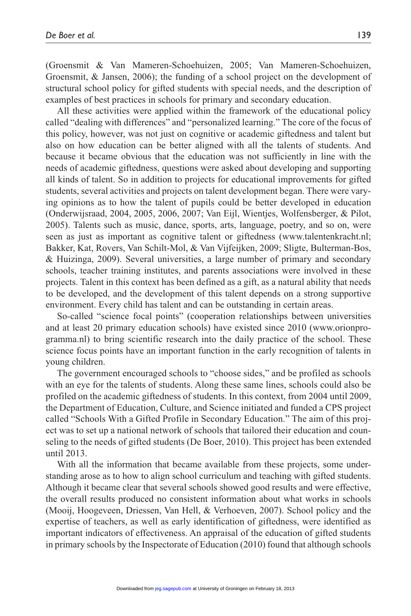(Groensmit & Van Mameren-Schoehuizen, 2005; Van Mameren-Schoehuizen, Groensmit, & Jansen, 2006); the funding of a school project on the development of structural school policy for gifted students with special needs, and the description of examples of best practices in schools for primary and secondary education.

All these activities were applied within the framework of the educational policy called "dealing with differences" and "personalized learning." The core of the focus of this policy, however, was not just on cognitive or academic giftedness and talent but also on how education can be better aligned with all the talents of students. And because it became obvious that the education was not sufficiently in line with the needs of academic giftedness, questions were asked about developing and supporting all kinds of talent. So in addition to projects for educational improvements for gifted students, several activities and projects on talent development began. There were varying opinions as to how the talent of pupils could be better developed in education (Onderwijsraad, 2004, 2005, 2006, 2007; Van Eijl, Wientjes, Wolfensberger, & Pilot, 2005). Talents such as music, dance, sports, arts, language, poetry, and so on, were seen as just as important as cognitive talent or giftedness (www.talentenkracht.nl; Bakker, Kat, Rovers, Van Schilt-Mol, & Van Vijfeijken, 2009; Sligte, Bulterman-Bos, & Huizinga, 2009). Several universities, a large number of primary and secondary schools, teacher training institutes, and parents associations were involved in these projects. Talent in this context has been defined as a gift, as a natural ability that needs to be developed, and the development of this talent depends on a strong supportive environment. Every child has talent and can be outstanding in certain areas.

So-called "science focal points" (cooperation relationships between universities and at least 20 primary education schools) have existed since 2010 (www.orionprogramma.nl) to bring scientific research into the daily practice of the school. These science focus points have an important function in the early recognition of talents in young children.

The government encouraged schools to "choose sides," and be profiled as schools with an eye for the talents of students. Along these same lines, schools could also be profiled on the academic giftedness of students. In this context, from 2004 until 2009, the Department of Education, Culture, and Science initiated and funded a CPS project called "Schools With a Gifted Profile in Secondary Education." The aim of this project was to set up a national network of schools that tailored their education and counseling to the needs of gifted students (De Boer, 2010). This project has been extended until 2013.

With all the information that became available from these projects, some understanding arose as to how to align school curriculum and teaching with gifted students. Although it became clear that several schools showed good results and were effective, the overall results produced no consistent information about what works in schools (Mooij, Hoogeveen, Driessen, Van Hell, & Verhoeven, 2007). School policy and the expertise of teachers, as well as early identification of giftedness, were identified as important indicators of effectiveness. An appraisal of the education of gifted students in primary schools by the Inspectorate of Education (2010) found that although schools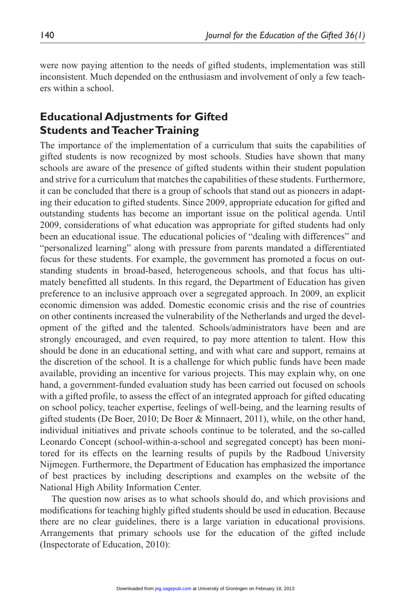were now paying attention to the needs of gifted students, implementation was still inconsistent. Much depended on the enthusiasm and involvement of only a few teachers within a school.

### **Educational Adjustments for Gifted Students and Teacher Training**

The importance of the implementation of a curriculum that suits the capabilities of gifted students is now recognized by most schools. Studies have shown that many schools are aware of the presence of gifted students within their student population and strive for a curriculum that matches the capabilities of these students. Furthermore, it can be concluded that there is a group of schools that stand out as pioneers in adapting their education to gifted students. Since 2009, appropriate education for gifted and outstanding students has become an important issue on the political agenda. Until 2009, considerations of what education was appropriate for gifted students had only been an educational issue. The educational policies of "dealing with differences" and "personalized learning" along with pressure from parents mandated a differentiated focus for these students. For example, the government has promoted a focus on outstanding students in broad-based, heterogeneous schools, and that focus has ultimately benefitted all students. In this regard, the Department of Education has given preference to an inclusive approach over a segregated approach. In 2009, an explicit economic dimension was added. Domestic economic crisis and the rise of countries on other continents increased the vulnerability of the Netherlands and urged the development of the gifted and the talented. Schools/administrators have been and are strongly encouraged, and even required, to pay more attention to talent. How this should be done in an educational setting, and with what care and support, remains at the discretion of the school. It is a challenge for which public funds have been made available, providing an incentive for various projects. This may explain why, on one hand, a government-funded evaluation study has been carried out focused on schools with a gifted profile, to assess the effect of an integrated approach for gifted educating on school policy, teacher expertise, feelings of well-being, and the learning results of gifted students (De Boer, 2010; De Boer & Minnaert, 2011), while, on the other hand, individual initiatives and private schools continue to be tolerated, and the so-called Leonardo Concept (school-within-a-school and segregated concept) has been monitored for its effects on the learning results of pupils by the Radboud University Nijmegen. Furthermore, the Department of Education has emphasized the importance of best practices by including descriptions and examples on the website of the National High Ability Information Center.

The question now arises as to what schools should do, and which provisions and modifications for teaching highly gifted students should be used in education. Because there are no clear guidelines, there is a large variation in educational provisions. Arrangements that primary schools use for the education of the gifted include (Inspectorate of Education, 2010):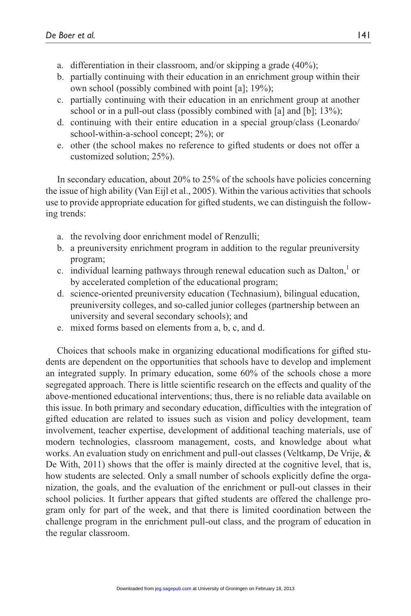- a. differentiation in their classroom, and/or skipping a grade (40%);
- b. partially continuing with their education in an enrichment group within their own school (possibly combined with point [a]; 19%);
- c. partially continuing with their education in an enrichment group at another school or in a pull-out class (possibly combined with [a] and [b]; 13%);
- d. continuing with their entire education in a special group/class (Leonardo/ school-within-a-school concept; 2%); or
- e. other (the school makes no reference to gifted students or does not offer a customized solution; 25%).

In secondary education, about 20% to 25% of the schools have policies concerning the issue of high ability (Van Eijl et al., 2005). Within the various activities that schools use to provide appropriate education for gifted students, we can distinguish the following trends:

- a. the revolving door enrichment model of Renzulli;
- b. a preuniversity enrichment program in addition to the regular preuniversity program;
- c. individual learning pathways through renewal education such as  $\text{Dalton}$ , or by accelerated completion of the educational program;
- d. science-oriented preuniversity education (Technasium), bilingual education, preuniversity colleges, and so-called junior colleges (partnership between an university and several secondary schools); and
- e. mixed forms based on elements from a, b, c, and d.

Choices that schools make in organizing educational modifications for gifted students are dependent on the opportunities that schools have to develop and implement an integrated supply. In primary education, some 60% of the schools chose a more segregated approach. There is little scientific research on the effects and quality of the above-mentioned educational interventions; thus, there is no reliable data available on this issue. In both primary and secondary education, difficulties with the integration of gifted education are related to issues such as vision and policy development, team involvement, teacher expertise, development of additional teaching materials, use of modern technologies, classroom management, costs, and knowledge about what works. An evaluation study on enrichment and pull-out classes (Veltkamp, De Vrije, & De With, 2011) shows that the offer is mainly directed at the cognitive level, that is, how students are selected. Only a small number of schools explicitly define the organization, the goals, and the evaluation of the enrichment or pull-out classes in their school policies. It further appears that gifted students are offered the challenge program only for part of the week, and that there is limited coordination between the challenge program in the enrichment pull-out class, and the program of education in the regular classroom.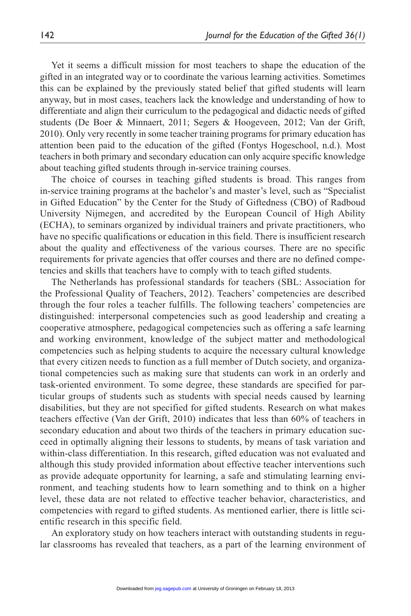Yet it seems a difficult mission for most teachers to shape the education of the gifted in an integrated way or to coordinate the various learning activities. Sometimes this can be explained by the previously stated belief that gifted students will learn anyway, but in most cases, teachers lack the knowledge and understanding of how to differentiate and align their curriculum to the pedagogical and didactic needs of gifted students (De Boer & Minnaert, 2011; Segers & Hoogeveen, 2012; Van der Grift, 2010). Only very recently in some teacher training programs for primary education has attention been paid to the education of the gifted (Fontys Hogeschool, n.d.). Most teachers in both primary and secondary education can only acquire specific knowledge about teaching gifted students through in-service training courses.

The choice of courses in teaching gifted students is broad. This ranges from in-service training programs at the bachelor's and master's level, such as "Specialist in Gifted Education" by the Center for the Study of Giftedness (CBO) of Radboud University Nijmegen, and accredited by the European Council of High Ability (ECHA), to seminars organized by individual trainers and private practitioners, who have no specific qualifications or education in this field. There is insufficient research about the quality and effectiveness of the various courses. There are no specific requirements for private agencies that offer courses and there are no defined competencies and skills that teachers have to comply with to teach gifted students.

The Netherlands has professional standards for teachers (SBL: Association for the Professional Quality of Teachers, 2012). Teachers' competencies are described through the four roles a teacher fulfills. The following teachers' competencies are distinguished: interpersonal competencies such as good leadership and creating a cooperative atmosphere, pedagogical competencies such as offering a safe learning and working environment, knowledge of the subject matter and methodological competencies such as helping students to acquire the necessary cultural knowledge that every citizen needs to function as a full member of Dutch society, and organizational competencies such as making sure that students can work in an orderly and task-oriented environment. To some degree, these standards are specified for particular groups of students such as students with special needs caused by learning disabilities, but they are not specified for gifted students. Research on what makes teachers effective (Van der Grift, 2010) indicates that less than 60% of teachers in secondary education and about two thirds of the teachers in primary education succeed in optimally aligning their lessons to students, by means of task variation and within-class differentiation. In this research, gifted education was not evaluated and although this study provided information about effective teacher interventions such as provide adequate opportunity for learning, a safe and stimulating learning environment, and teaching students how to learn something and to think on a higher level, these data are not related to effective teacher behavior, characteristics, and competencies with regard to gifted students. As mentioned earlier, there is little scientific research in this specific field.

An exploratory study on how teachers interact with outstanding students in regular classrooms has revealed that teachers, as a part of the learning environment of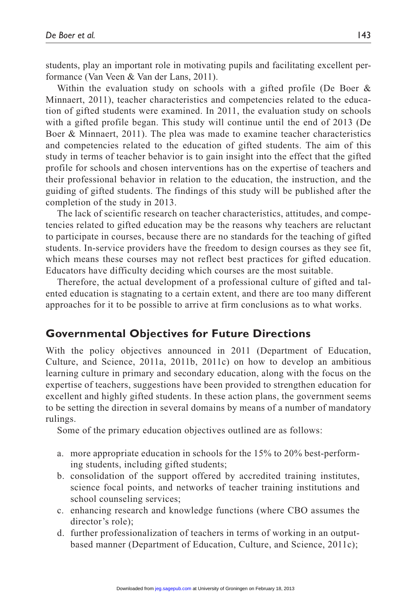students, play an important role in motivating pupils and facilitating excellent performance (Van Veen & Van der Lans, 2011).

Within the evaluation study on schools with a gifted profile (De Boer & Minnaert, 2011), teacher characteristics and competencies related to the education of gifted students were examined. In 2011, the evaluation study on schools with a gifted profile began. This study will continue until the end of 2013 (De Boer & Minnaert, 2011). The plea was made to examine teacher characteristics and competencies related to the education of gifted students. The aim of this study in terms of teacher behavior is to gain insight into the effect that the gifted profile for schools and chosen interventions has on the expertise of teachers and their professional behavior in relation to the education, the instruction, and the guiding of gifted students. The findings of this study will be published after the completion of the study in 2013.

The lack of scientific research on teacher characteristics, attitudes, and competencies related to gifted education may be the reasons why teachers are reluctant to participate in courses, because there are no standards for the teaching of gifted students. In-service providers have the freedom to design courses as they see fit, which means these courses may not reflect best practices for gifted education. Educators have difficulty deciding which courses are the most suitable.

Therefore, the actual development of a professional culture of gifted and talented education is stagnating to a certain extent, and there are too many different approaches for it to be possible to arrive at firm conclusions as to what works.

## **Governmental Objectives for Future Directions**

With the policy objectives announced in 2011 (Department of Education, Culture, and Science, 2011a, 2011b, 2011c) on how to develop an ambitious learning culture in primary and secondary education, along with the focus on the expertise of teachers, suggestions have been provided to strengthen education for excellent and highly gifted students. In these action plans, the government seems to be setting the direction in several domains by means of a number of mandatory rulings.

Some of the primary education objectives outlined are as follows:

- a. more appropriate education in schools for the 15% to 20% best-performing students, including gifted students;
- b. consolidation of the support offered by accredited training institutes, science focal points, and networks of teacher training institutions and school counseling services;
- c. enhancing research and knowledge functions (where CBO assumes the director's role);
- d. further professionalization of teachers in terms of working in an outputbased manner (Department of Education, Culture, and Science, 2011c);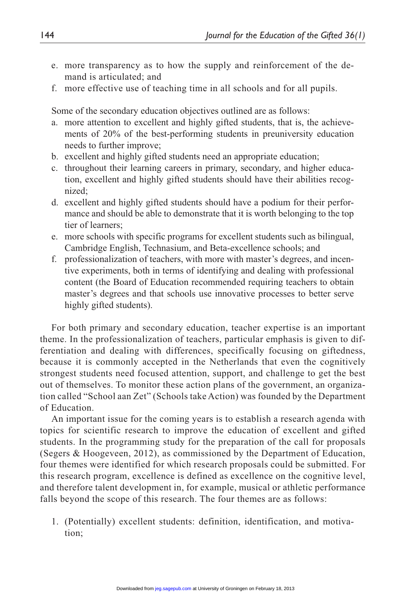- e. more transparency as to how the supply and reinforcement of the demand is articulated; and
- f. more effective use of teaching time in all schools and for all pupils.

Some of the secondary education objectives outlined are as follows:

- a. more attention to excellent and highly gifted students, that is, the achievements of 20% of the best-performing students in preuniversity education needs to further improve;
- b. excellent and highly gifted students need an appropriate education;
- c. throughout their learning careers in primary, secondary, and higher education, excellent and highly gifted students should have their abilities recognized;
- d. excellent and highly gifted students should have a podium for their performance and should be able to demonstrate that it is worth belonging to the top tier of learners;
- e. more schools with specific programs for excellent students such as bilingual, Cambridge English, Technasium, and Beta-excellence schools; and
- f. professionalization of teachers, with more with master's degrees, and incentive experiments, both in terms of identifying and dealing with professional content (the Board of Education recommended requiring teachers to obtain master's degrees and that schools use innovative processes to better serve highly gifted students).

For both primary and secondary education, teacher expertise is an important theme. In the professionalization of teachers, particular emphasis is given to differentiation and dealing with differences, specifically focusing on giftedness, because it is commonly accepted in the Netherlands that even the cognitively strongest students need focused attention, support, and challenge to get the best out of themselves. To monitor these action plans of the government, an organization called "School aan Zet" (Schools take Action) was founded by the Department of Education.

An important issue for the coming years is to establish a research agenda with topics for scientific research to improve the education of excellent and gifted students. In the programming study for the preparation of the call for proposals (Segers & Hoogeveen, 2012), as commissioned by the Department of Education, four themes were identified for which research proposals could be submitted. For this research program, excellence is defined as excellence on the cognitive level, and therefore talent development in, for example, musical or athletic performance falls beyond the scope of this research. The four themes are as follows:

1. (Potentially) excellent students: definition, identification, and motivation;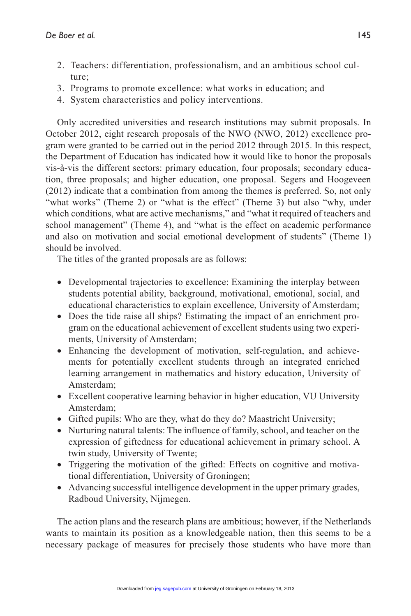- 2. Teachers: differentiation, professionalism, and an ambitious school culture;
- 3. Programs to promote excellence: what works in education; and
- 4. System characteristics and policy interventions.

Only accredited universities and research institutions may submit proposals. In October 2012, eight research proposals of the NWO (NWO, 2012) excellence program were granted to be carried out in the period 2012 through 2015. In this respect, the Department of Education has indicated how it would like to honor the proposals vis-à-vis the different sectors: primary education, four proposals; secondary education, three proposals; and higher education, one proposal. Segers and Hoogeveen (2012) indicate that a combination from among the themes is preferred. So, not only "what works" (Theme 2) or "what is the effect" (Theme 3) but also "why, under which conditions, what are active mechanisms," and "what it required of teachers and school management" (Theme 4), and "what is the effect on academic performance and also on motivation and social emotional development of students" (Theme 1) should be involved.

The titles of the granted proposals are as follows:

- Developmental trajectories to excellence: Examining the interplay between students potential ability, background, motivational, emotional, social, and educational characteristics to explain excellence, University of Amsterdam;
- Does the tide raise all ships? Estimating the impact of an enrichment program on the educational achievement of excellent students using two experiments, University of Amsterdam;
- Enhancing the development of motivation, self-regulation, and achievements for potentially excellent students through an integrated enriched learning arrangement in mathematics and history education, University of Amsterdam;
- Excellent cooperative learning behavior in higher education, VU University Amsterdam;
- Gifted pupils: Who are they, what do they do? Maastricht University;
- Nurturing natural talents: The influence of family, school, and teacher on the expression of giftedness for educational achievement in primary school. A twin study, University of Twente;
- Triggering the motivation of the gifted: Effects on cognitive and motivational differentiation, University of Groningen;
- Advancing successful intelligence development in the upper primary grades, Radboud University, Nijmegen.

The action plans and the research plans are ambitious; however, if the Netherlands wants to maintain its position as a knowledgeable nation, then this seems to be a necessary package of measures for precisely those students who have more than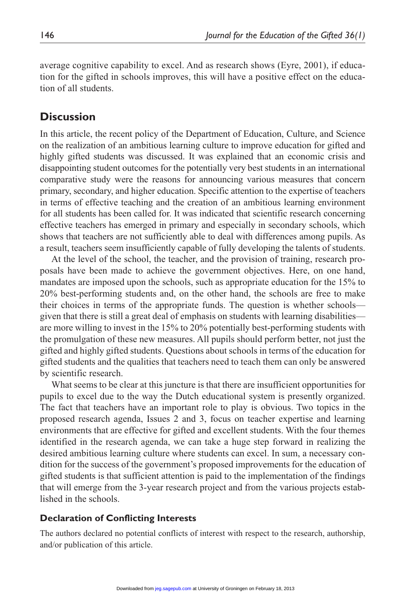average cognitive capability to excel. And as research shows (Eyre, 2001), if education for the gifted in schools improves, this will have a positive effect on the education of all students.

#### **Discussion**

In this article, the recent policy of the Department of Education, Culture, and Science on the realization of an ambitious learning culture to improve education for gifted and highly gifted students was discussed. It was explained that an economic crisis and disappointing student outcomes for the potentially very best students in an international comparative study were the reasons for announcing various measures that concern primary, secondary, and higher education. Specific attention to the expertise of teachers in terms of effective teaching and the creation of an ambitious learning environment for all students has been called for. It was indicated that scientific research concerning effective teachers has emerged in primary and especially in secondary schools, which shows that teachers are not sufficiently able to deal with differences among pupils. As a result, teachers seem insufficiently capable of fully developing the talents of students.

At the level of the school, the teacher, and the provision of training, research proposals have been made to achieve the government objectives. Here, on one hand, mandates are imposed upon the schools, such as appropriate education for the 15% to 20% best-performing students and, on the other hand, the schools are free to make their choices in terms of the appropriate funds. The question is whether schools given that there is still a great deal of emphasis on students with learning disabilities are more willing to invest in the 15% to 20% potentially best-performing students with the promulgation of these new measures. All pupils should perform better, not just the gifted and highly gifted students. Questions about schools in terms of the education for gifted students and the qualities that teachers need to teach them can only be answered by scientific research.

What seems to be clear at this juncture is that there are insufficient opportunities for pupils to excel due to the way the Dutch educational system is presently organized. The fact that teachers have an important role to play is obvious. Two topics in the proposed research agenda, Issues 2 and 3, focus on teacher expertise and learning environments that are effective for gifted and excellent students. With the four themes identified in the research agenda, we can take a huge step forward in realizing the desired ambitious learning culture where students can excel. In sum, a necessary condition for the success of the government's proposed improvements for the education of gifted students is that sufficient attention is paid to the implementation of the findings that will emerge from the 3-year research project and from the various projects established in the schools.

#### **Declaration of Conflicting Interests**

The authors declared no potential conflicts of interest with respect to the research, authorship, and/or publication of this article.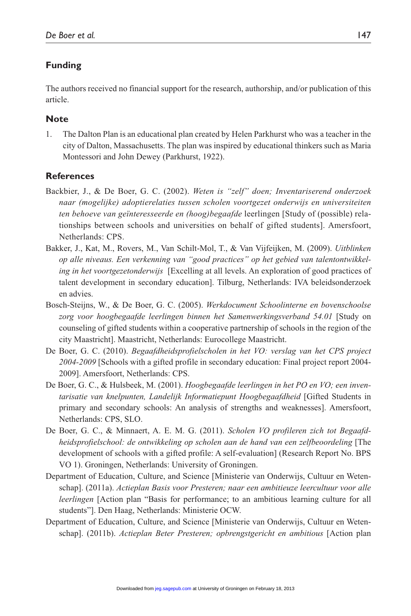#### **Funding**

The authors received no financial support for the research, authorship, and/or publication of this article.

#### **Note**

1. The Dalton Plan is an educational plan created by Helen Parkhurst who was a teacher in the city of Dalton, Massachusetts. The plan was inspired by educational thinkers such as Maria Montessori and John Dewey (Parkhurst, 1922).

#### **References**

- Backbier, J., & De Boer, G. C. (2002). *Weten is "zelf" doen; Inventariserend onderzoek naar (mogelijke) adoptierelaties tussen scholen voortgezet onderwijs en universiteiten ten behoeve van geïnteresseerde en (hoog)begaafde* leerlingen [Study of (possible) relationships between schools and universities on behalf of gifted students]. Amersfoort, Netherlands: CPS.
- Bakker, J., Kat, M., Rovers, M., Van Schilt-Mol, T., & Van Vijfeijken, M. (2009). *Uitblinken op alle niveaus. Een verkenning van "good practices" op het gebied van talentontwikkeling in het voortgezetonderwijs* [Excelling at all levels. An exploration of good practices of talent development in secondary education]. Tilburg, Netherlands: IVA beleidsonderzoek en advies.
- Bosch-Steijns, W., & De Boer, G. C. (2005). *Werkdocument Schoolinterne en bovenschoolse zorg voor hoogbegaafde leerlingen binnen het Samenwerkingsverband 54.01* [Study on counseling of gifted students within a cooperative partnership of schools in the region of the city Maastricht]. Maastricht, Netherlands: Eurocollege Maastricht.
- De Boer, G. C. (2010). *Begaafdheidsprofielscholen in het VO: verslag van het CPS project 2004-2009* [Schools with a gifted profile in secondary education: Final project report 2004- 2009]. Amersfoort, Netherlands: CPS.
- De Boer, G. C., & Hulsbeek, M. (2001). *Hoogbegaafde leerlingen in het PO en VO; een inventarisatie van knelpunten, Landelijk Informatiepunt Hoogbegaafdheid* [Gifted Students in primary and secondary schools: An analysis of strengths and weaknesses]. Amersfoort, Netherlands: CPS, SLO.
- De Boer, G. C., & Minnaert, A. E. M. G. (2011). *Scholen VO profileren zich tot Begaafdheidsprofielschool: de ontwikkeling op scholen aan de hand van een zelfbeoordeling* [The development of schools with a gifted profile: A self-evaluation] (Research Report No. BPS VO 1). Groningen, Netherlands: University of Groningen.
- Department of Education, Culture, and Science [Ministerie van Onderwijs, Cultuur en Wetenschap]. (2011a). *Actieplan Basis voor Presteren; naar een ambitieuze leercultuur voor alle leerlingen* [Action plan "Basis for performance; to an ambitious learning culture for all students"]. Den Haag, Netherlands: Ministerie OCW.
- Department of Education, Culture, and Science [Ministerie van Onderwijs, Cultuur en Wetenschap]. (2011b). *Actieplan Beter Presteren; opbrengstgericht en ambitious* [Action plan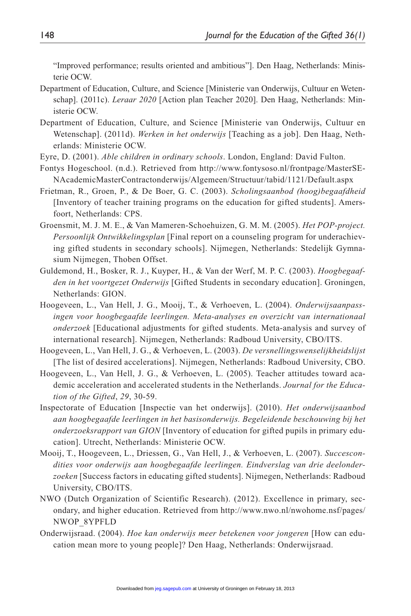"Improved performance; results oriented and ambitious"]. Den Haag, Netherlands: Ministerie OCW.

- Department of Education, Culture, and Science [Ministerie van Onderwijs, Cultuur en Wetenschap]. (2011c). *Leraar 2020* [Action plan Teacher 2020]. Den Haag, Netherlands: Ministerie OCW.
- Department of Education, Culture, and Science [Ministerie van Onderwijs, Cultuur en Wetenschap]. (2011d). *Werken in het onderwijs* [Teaching as a job]. Den Haag, Netherlands: Ministerie OCW.
- Eyre, D. (2001). *Able children in ordinary schools*. London, England: David Fulton.
- Fontys Hogeschool. (n.d.). Retrieved from http://www.fontysoso.nl/frontpage/MasterSE-NAcademicMasterContractonderwijs/Algemeen/Structuur/tabid/1121/Default.aspx
- Frietman, R., Groen, P., & De Boer, G. C. (2003). *Scholingsaanbod (hoog)begaafdheid* [Inventory of teacher training programs on the education for gifted students]. Amersfoort, Netherlands: CPS.
- Groensmit, M. J. M. E., & Van Mameren-Schoehuizen, G. M. M. (2005). *Het POP-project. Persoonlijk Ontwikkelingsplan* [Final report on a counseling program for underachieving gifted students in secondary schools]. Nijmegen, Netherlands: Stedelijk Gymnasium Nijmegen, Thoben Offset.
- Guldemond, H., Bosker, R. J., Kuyper, H., & Van der Werf, M. P. C. (2003). *Hoogbegaafden in het voortgezet Onderwijs* [Gifted Students in secondary education]. Groningen, Netherlands: GION.
- Hoogeveen, L., Van Hell, J. G., Mooij, T., & Verhoeven, L. (2004). *Onderwijsaanpassingen voor hoogbegaafde leerlingen. Meta-analyses en overzicht van internationaal onderzoek* [Educational adjustments for gifted students. Meta-analysis and survey of international research]. Nijmegen, Netherlands: Radboud University, CBO/ITS.
- Hoogeveen, L., Van Hell, J. G., & Verhoeven, L. (2003). *De versnellingswenselijkheidslijst* [The list of desired accelerations]. Nijmegen, Netherlands: Radboud University, CBO.
- Hoogeveen, L., Van Hell, J. G., & Verhoeven, L. (2005). Teacher attitudes toward academic acceleration and accelerated students in the Netherlands. *Journal for the Education of the Gifted*, *29*, 30-59.
- Inspectorate of Education [Inspectie van het onderwijs]. (2010). *Het onderwijsaanbod aan hoogbegaafde leerlingen in het basisonderwijs. Begeleidende beschouwing bij het onderzoeksrapport van GION* [Inventory of education for gifted pupils in primary education]. Utrecht, Netherlands: Ministerie OCW.
- Mooij, T., Hoogeveen, L., Driessen, G., Van Hell, J., & Verhoeven, L. (2007). *Succescondities voor onderwijs aan hoogbegaafde leerlingen. Eindverslag van drie deelonderzoeken* [Success factors in educating gifted students]. Nijmegen, Netherlands: Radboud University, CBO/ITS.
- NWO (Dutch Organization of Scientific Research). (2012). Excellence in primary, secondary, and higher education. Retrieved from http://www.nwo.nl/nwohome.nsf/pages/ NWOP\_8YPFLD
- Onderwijsraad. (2004). *Hoe kan onderwijs meer betekenen voor jongeren* [How can education mean more to young people]? Den Haag, Netherlands: Onderwijsraad.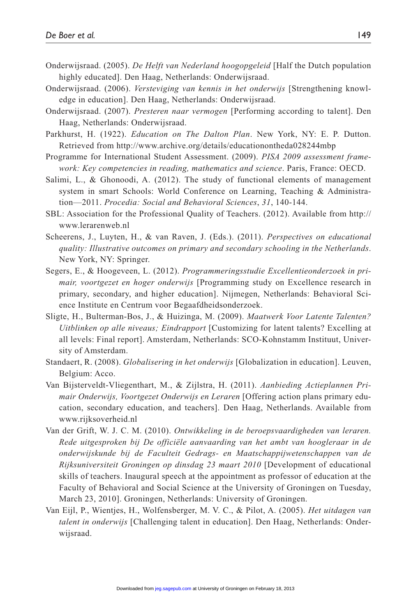- Onderwijsraad. (2005). *De Helft van Nederland hoogopgeleid* [Half the Dutch population highly educated]. Den Haag, Netherlands: Onderwijsraad.
- Onderwijsraad. (2006). *Versteviging van kennis in het onderwijs* [Strengthening knowledge in education]. Den Haag, Netherlands: Onderwijsraad.
- Onderwijsraad. (2007). *Presteren naar vermogen* [Performing according to talent]. Den Haag, Netherlands: Onderwijsraad.
- Parkhurst, H. (1922). *Education on The Dalton Plan*. New York, NY: E. P. Dutton. Retrieved from http://www.archive.org/details/educationontheda028244mbp
- Programme for International Student Assessment. (2009). *PISA 2009 assessment framework: Key competencies in reading, mathematics and science*. Paris, France: OECD.
- Salimi, L., & Ghonoodi, A. (2012). The study of functional elements of management system in smart Schools: World Conference on Learning, Teaching & Administration—2011. *Procedia: Social and Behavioral Sciences*, *31*, 140-144.
- SBL: Association for the Professional Quality of Teachers. (2012). Available from http:// www.lerarenweb.nl
- Scheerens, J., Luyten, H., & van Raven, J. (Eds.). (2011). *Perspectives on educational quality: Illustrative outcomes on primary and secondary schooling in the Netherlands*. New York, NY: Springer.
- Segers, E., & Hoogeveen, L. (2012). *Programmeringsstudie Excellentieonderzoek in primair, voortgezet en hoger onderwijs* [Programming study on Excellence research in primary, secondary, and higher education]. Nijmegen, Netherlands: Behavioral Science Institute en Centrum voor Begaafdheidsonderzoek.
- Sligte, H., Bulterman-Bos, J., & Huizinga, M. (2009). *Maatwerk Voor Latente Talenten? Uitblinken op alle niveaus; Eindrapport* [Customizing for latent talents? Excelling at all levels: Final report]. Amsterdam, Netherlands: SCO-Kohnstamm Instituut, University of Amsterdam.
- Standaert, R. (2008). *Globalisering in het onderwijs* [Globalization in education]. Leuven, Belgium: Acco.
- Van Bijsterveldt-Vliegenthart, M., & Zijlstra, H. (2011). *Aanbieding Actieplannen Primair Onderwijs, Voortgezet Onderwijs en Leraren* [Offering action plans primary education, secondary education, and teachers]. Den Haag, Netherlands. Available from www.rijksoverheid.nl
- Van der Grift, W. J. C. M. (2010). *Ontwikkeling in de beroepsvaardigheden van leraren. Rede uitgesproken bij De officiële aanvaarding van het ambt van hoogleraar in de onderwijskunde bij de Faculteit Gedrags- en Maatschappijwetenschappen van de Rijksuniversiteit Groningen op dinsdag 23 maart 2010* [Development of educational skills of teachers. Inaugural speech at the appointment as professor of education at the Faculty of Behavioral and Social Science at the University of Groningen on Tuesday, March 23, 2010]. Groningen, Netherlands: University of Groningen.
- Van Eijl, P., Wientjes, H., Wolfensberger, M. V. C., & Pilot, A. (2005). *Het uitdagen van talent in onderwijs* [Challenging talent in education]. Den Haag, Netherlands: Onderwijsraad.